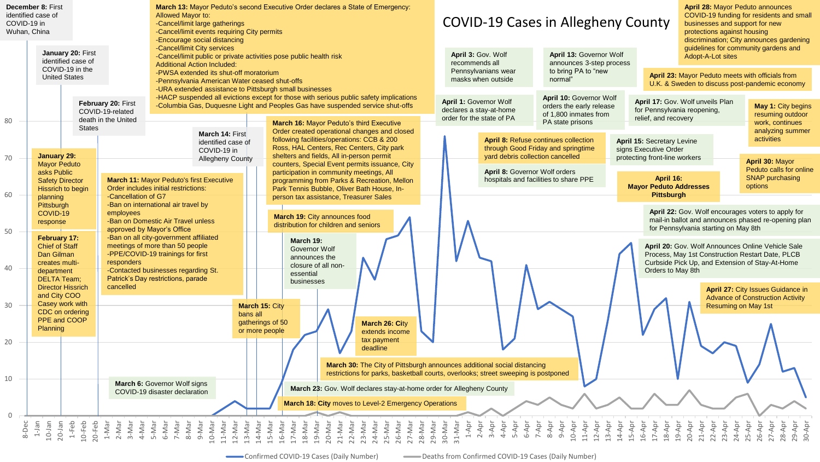| COVID-19 in<br>Wuhan, China | December 8: First<br>identified case of                    |                                            |                                                                                                                                                                                                                                                                                                                                                                                                                                                                  | <b>March 13: Mayor Peduto's second Executive Order declares a State of Emergency:</b><br><b>Allowed Mayor to:</b><br>-Cancel/limit large gatherings<br>-Cancel/limit events requiring City permits<br>-Encourage social distancing |                                   |                                                                    |                                                                                                                                      |                                            |                                                                                            |                                             |                                                |                                                                                    | <b>COVID-19 Cases in Allegheny County</b>                                             |                                      |                                                                            |                                                                              |                                                                                             |                         |                                                                 |                                                                                             | <b>April 28: Mayor Peduto announces</b><br>COVID-19 funding for residents and small<br>businesses and support for new<br>protections against housing<br>discrimination; City announces gardening |                      |                                                           |                                                  |                                                    |  |
|-----------------------------|------------------------------------------------------------|--------------------------------------------|------------------------------------------------------------------------------------------------------------------------------------------------------------------------------------------------------------------------------------------------------------------------------------------------------------------------------------------------------------------------------------------------------------------------------------------------------------------|------------------------------------------------------------------------------------------------------------------------------------------------------------------------------------------------------------------------------------|-----------------------------------|--------------------------------------------------------------------|--------------------------------------------------------------------------------------------------------------------------------------|--------------------------------------------|--------------------------------------------------------------------------------------------|---------------------------------------------|------------------------------------------------|------------------------------------------------------------------------------------|---------------------------------------------------------------------------------------|--------------------------------------|----------------------------------------------------------------------------|------------------------------------------------------------------------------|---------------------------------------------------------------------------------------------|-------------------------|-----------------------------------------------------------------|---------------------------------------------------------------------------------------------|--------------------------------------------------------------------------------------------------------------------------------------------------------------------------------------------------|----------------------|-----------------------------------------------------------|--------------------------------------------------|----------------------------------------------------|--|
|                             | January 20: First<br>identified case of<br>COVID-19 in the |                                            |                                                                                                                                                                                                                                                                                                                                                                                                                                                                  | -Cancel/limit City services<br><b>Additional Action Included:</b>                                                                                                                                                                  |                                   | -Cancel/limit public or private activities pose public health risk |                                                                                                                                      |                                            |                                                                                            |                                             |                                                |                                                                                    | April 3: Gov. Wolf<br>recommends all                                                  |                                      | Pennsylvanians wear                                                        |                                                                              | April 13: Governor Wolf<br>announces 3-step process<br>to bring PA to "new                  |                         |                                                                 |                                                                                             |                                                                                                                                                                                                  |                      | guidelines for community gardens and<br>Adopt-A-Lot sites |                                                  |                                                    |  |
|                             | <b>United States</b>                                       |                                            |                                                                                                                                                                                                                                                                                                                                                                                                                                                                  | -PWSA extended its shut-off moratorium<br>-Pennsylvania American Water ceased shut-offs<br>-URA extended assistance to Pittsburgh small businesses                                                                                 |                                   |                                                                    |                                                                                                                                      |                                            |                                                                                            |                                             |                                                |                                                                                    | masks when outside                                                                    |                                      |                                                                            | normal"                                                                      |                                                                                             |                         |                                                                 |                                                                                             | April 23: Mayor Peduto meets with officials from<br>U.K. & Sweden to discuss post-pandemic economy                                                                                               |                      |                                                           |                                                  |                                                    |  |
|                             |                                                            |                                            | February 20: First<br>COVID-19-related                                                                                                                                                                                                                                                                                                                                                                                                                           | -HACP suspended all evictions except for those with serious public safety implications<br>-Columbia Gas, Duquesne Light and Peoples Gas have suspended service shut-offs                                                           |                                   |                                                                    |                                                                                                                                      |                                            |                                                                                            |                                             |                                                |                                                                                    | <b>April 1: Governor Wolf</b><br>declares a stay-at-home<br>order for the state of PA |                                      |                                                                            | April 10: Governor Wolf<br>orders the early release<br>of 1,800 inmates from |                                                                                             |                         | April 17: Gov. Wolf unveils Plan<br>for Pennsylvania reopening, |                                                                                             |                                                                                                                                                                                                  |                      | <b>May 1: City begins</b><br>resuming outdoor             |                                                  |                                                    |  |
| 80                          |                                                            |                                            | death in the United                                                                                                                                                                                                                                                                                                                                                                                                                                              |                                                                                                                                                                                                                                    |                                   |                                                                    |                                                                                                                                      | March 16: Mayor Peduto's third Executive   |                                                                                            |                                             |                                                |                                                                                    |                                                                                       |                                      |                                                                            |                                                                              |                                                                                             |                         | PA state prisons                                                |                                                                                             |                                                                                                                                                                                                  | relief, and recovery |                                                           |                                                  | work, continues                                    |  |
|                             |                                                            | <b>States</b>                              |                                                                                                                                                                                                                                                                                                                                                                                                                                                                  |                                                                                                                                                                                                                                    | March 14: First                   |                                                                    |                                                                                                                                      |                                            |                                                                                            |                                             |                                                | Order created operational changes and closed                                       |                                                                                       |                                      |                                                                            |                                                                              |                                                                                             |                         |                                                                 |                                                                                             |                                                                                                                                                                                                  |                      |                                                           |                                                  | analyzing summer                                   |  |
|                             |                                                            |                                            |                                                                                                                                                                                                                                                                                                                                                                                                                                                                  | identified case of<br>COVID-19 in                                                                                                                                                                                                  |                                   |                                                                    | following facilities/operations: CCB & 200<br>Ross, HAL Centers, Rec Centers, City park<br>shelters and fields, All in-person permit |                                            |                                                                                            |                                             |                                                | yard debris collection cancelled                                                   |                                                                                       |                                      | April 8: Refuse continues collection<br>through Good Friday and springtime |                                                                              | <b>April 15: Secretary Levine</b><br>signs Executive Order<br>protecting front-line workers |                         |                                                                 |                                                                                             | activities                                                                                                                                                                                       |                      |                                                           |                                                  |                                                    |  |
| 70                          | January 29:<br><b>Mayor Peduto</b>                         |                                            |                                                                                                                                                                                                                                                                                                                                                                                                                                                                  |                                                                                                                                                                                                                                    | <b>Allegheny County</b>           |                                                                    |                                                                                                                                      |                                            |                                                                                            |                                             |                                                |                                                                                    |                                                                                       |                                      |                                                                            |                                                                              |                                                                                             |                         |                                                                 |                                                                                             |                                                                                                                                                                                                  |                      |                                                           |                                                  | April 30: Mayor                                    |  |
|                             | asks Public                                                |                                            |                                                                                                                                                                                                                                                                                                                                                                                                                                                                  |                                                                                                                                                                                                                                    |                                   |                                                                    |                                                                                                                                      |                                            | counters, Special Event permits issuance, City<br>participation in community meetings, All |                                             |                                                |                                                                                    |                                                                                       | <b>April 8: Governor Wolf orders</b> |                                                                            |                                                                              |                                                                                             |                         |                                                                 |                                                                                             |                                                                                                                                                                                                  |                      |                                                           | Peduto calls for online                          |                                                    |  |
|                             | <b>Safety Director</b>                                     |                                            |                                                                                                                                                                                                                                                                                                                                                                                                                                                                  | <b>March 11: Mayor Peduto's first Executive</b>                                                                                                                                                                                    |                                   |                                                                    |                                                                                                                                      |                                            |                                                                                            | programming from Parks & Recreation, Mellon |                                                |                                                                                    |                                                                                       |                                      | hospitals and facilities to share PPE                                      |                                                                              |                                                                                             |                         |                                                                 |                                                                                             | April 16:                                                                                                                                                                                        |                      |                                                           | <b>SNAP purchasing</b>                           |                                                    |  |
|                             | Hissrich to begin                                          |                                            | Order includes initial restrictions:                                                                                                                                                                                                                                                                                                                                                                                                                             |                                                                                                                                                                                                                                    |                                   |                                                                    |                                                                                                                                      | Park Tennis Bubble, Oliver Bath House, In- |                                                                                            |                                             |                                                |                                                                                    |                                                                                       |                                      |                                                                            |                                                                              |                                                                                             |                         | <b>Mayor Peduto Addresses</b><br><b>Pittsburgh</b>              |                                                                                             |                                                                                                                                                                                                  | options              |                                                           |                                                  |                                                    |  |
| 60                          | planning                                                   |                                            | -Cancellation of G7                                                                                                                                                                                                                                                                                                                                                                                                                                              |                                                                                                                                                                                                                                    |                                   |                                                                    |                                                                                                                                      | person tax assistance, Treasurer Sales     |                                                                                            |                                             |                                                |                                                                                    |                                                                                       |                                      |                                                                            |                                                                              |                                                                                             |                         |                                                                 |                                                                                             |                                                                                                                                                                                                  |                      |                                                           |                                                  |                                                    |  |
|                             | Pittsburgh<br>COVID-19                                     |                                            | employees                                                                                                                                                                                                                                                                                                                                                                                                                                                        | -Ban on international air travel by                                                                                                                                                                                                |                                   |                                                                    |                                                                                                                                      |                                            |                                                                                            |                                             |                                                |                                                                                    |                                                                                       |                                      |                                                                            |                                                                              |                                                                                             |                         |                                                                 |                                                                                             |                                                                                                                                                                                                  |                      |                                                           |                                                  | April 22: Gov. Wolf encourages voters to apply for |  |
| 50                          | response                                                   |                                            | -Ban on Domestic Air Travel unless<br>approved by Mayor's Office                                                                                                                                                                                                                                                                                                                                                                                                 |                                                                                                                                                                                                                                    |                                   |                                                                    |                                                                                                                                      |                                            | March 19: City announces food<br>distribution for children and seniors                     |                                             |                                                |                                                                                    |                                                                                       |                                      |                                                                            |                                                                              |                                                                                             |                         |                                                                 | mail-in ballot and announces phased re-opening plan<br>for Pennsylvania starting on May 8th |                                                                                                                                                                                                  |                      |                                                           |                                                  |                                                    |  |
|                             | February 17:                                               |                                            |                                                                                                                                                                                                                                                                                                                                                                                                                                                                  | -Ban on all city-government affiliated                                                                                                                                                                                             |                                   |                                                                    |                                                                                                                                      | March 19:                                  |                                                                                            |                                             |                                                |                                                                                    |                                                                                       |                                      |                                                                            |                                                                              |                                                                                             |                         |                                                                 |                                                                                             |                                                                                                                                                                                                  |                      |                                                           |                                                  |                                                    |  |
|                             | <b>Chief of Staff</b>                                      |                                            |                                                                                                                                                                                                                                                                                                                                                                                                                                                                  |                                                                                                                                                                                                                                    | meetings of more than 50 people   |                                                                    |                                                                                                                                      | <b>Governor Wolf</b><br>announces the      |                                                                                            |                                             |                                                |                                                                                    |                                                                                       |                                      |                                                                            |                                                                              |                                                                                             |                         |                                                                 |                                                                                             | April 20: Gov. Wolf Announces Online Vehicle Sale                                                                                                                                                |                      |                                                           |                                                  |                                                    |  |
|                             |                                                            | Dan Gilman<br>responders<br>creates multi- |                                                                                                                                                                                                                                                                                                                                                                                                                                                                  |                                                                                                                                                                                                                                    | -PPE/COVID-19 trainings for first |                                                                    |                                                                                                                                      |                                            |                                                                                            |                                             |                                                |                                                                                    |                                                                                       |                                      |                                                                            |                                                                              |                                                                                             |                         |                                                                 |                                                                                             |                                                                                                                                                                                                  |                      |                                                           | Process, May 1st Construction Restart Date, PLCB |                                                    |  |
| 40                          | department                                                 |                                            | -Contacted businesses regarding St.                                                                                                                                                                                                                                                                                                                                                                                                                              |                                                                                                                                                                                                                                    |                                   |                                                                    | closure of all non-                                                                                                                  |                                            |                                                                                            |                                             |                                                |                                                                                    |                                                                                       |                                      |                                                                            |                                                                              |                                                                                             |                         |                                                                 | Orders to May 8th                                                                           |                                                                                                                                                                                                  |                      | Curbside Pick Up, and Extension of Stay-At-Home           |                                                  |                                                    |  |
|                             | Patrick's Day restrictions, parade<br><b>DELTA</b> Team:   |                                            |                                                                                                                                                                                                                                                                                                                                                                                                                                                                  |                                                                                                                                                                                                                                    |                                   |                                                                    |                                                                                                                                      | essential<br>businesses                    |                                                                                            |                                             |                                                |                                                                                    |                                                                                       |                                      |                                                                            |                                                                              |                                                                                             |                         |                                                                 |                                                                                             |                                                                                                                                                                                                  |                      |                                                           |                                                  |                                                    |  |
|                             | <b>Director Hissrich</b>                                   |                                            | cancelled                                                                                                                                                                                                                                                                                                                                                                                                                                                        |                                                                                                                                                                                                                                    |                                   |                                                                    |                                                                                                                                      |                                            |                                                                                            |                                             |                                                |                                                                                    |                                                                                       |                                      |                                                                            |                                                                              |                                                                                             |                         |                                                                 |                                                                                             |                                                                                                                                                                                                  |                      |                                                           |                                                  | April 27: City Issues Guidance in                  |  |
|                             | and City COO                                               |                                            |                                                                                                                                                                                                                                                                                                                                                                                                                                                                  |                                                                                                                                                                                                                                    |                                   |                                                                    |                                                                                                                                      |                                            |                                                                                            |                                             |                                                |                                                                                    |                                                                                       |                                      |                                                                            |                                                                              |                                                                                             |                         |                                                                 |                                                                                             | <b>Advance of Construction Activity</b>                                                                                                                                                          |                      |                                                           |                                                  |                                                    |  |
| 30                          | Casey work with                                            |                                            |                                                                                                                                                                                                                                                                                                                                                                                                                                                                  |                                                                                                                                                                                                                                    |                                   |                                                                    | March 15: City                                                                                                                       |                                            |                                                                                            |                                             |                                                |                                                                                    |                                                                                       |                                      |                                                                            |                                                                              |                                                                                             |                         |                                                                 |                                                                                             |                                                                                                                                                                                                  |                      |                                                           |                                                  | Resuming on May 1st                                |  |
|                             | CDC on ordering<br>PPE and COOP                            |                                            |                                                                                                                                                                                                                                                                                                                                                                                                                                                                  |                                                                                                                                                                                                                                    |                                   | bans all                                                           |                                                                                                                                      |                                            |                                                                                            |                                             |                                                |                                                                                    |                                                                                       |                                      |                                                                            |                                                                              |                                                                                             |                         |                                                                 |                                                                                             |                                                                                                                                                                                                  |                      |                                                           |                                                  |                                                    |  |
|                             | Planning                                                   |                                            |                                                                                                                                                                                                                                                                                                                                                                                                                                                                  |                                                                                                                                                                                                                                    |                                   |                                                                    | gatherings of 50                                                                                                                     |                                            |                                                                                            |                                             |                                                | March 26: City                                                                     |                                                                                       |                                      |                                                                            |                                                                              |                                                                                             |                         |                                                                 |                                                                                             |                                                                                                                                                                                                  |                      |                                                           |                                                  |                                                    |  |
|                             |                                                            |                                            |                                                                                                                                                                                                                                                                                                                                                                                                                                                                  |                                                                                                                                                                                                                                    |                                   |                                                                    | or more people                                                                                                                       |                                            |                                                                                            |                                             |                                                | extends income                                                                     |                                                                                       |                                      |                                                                            |                                                                              |                                                                                             |                         |                                                                 |                                                                                             |                                                                                                                                                                                                  |                      |                                                           |                                                  |                                                    |  |
| 20                          |                                                            |                                            |                                                                                                                                                                                                                                                                                                                                                                                                                                                                  |                                                                                                                                                                                                                                    |                                   |                                                                    |                                                                                                                                      |                                            |                                                                                            |                                             | tax payment<br>deadline                        |                                                                                    |                                                                                       |                                      |                                                                            |                                                                              |                                                                                             |                         |                                                                 |                                                                                             |                                                                                                                                                                                                  |                      |                                                           |                                                  |                                                    |  |
|                             |                                                            |                                            |                                                                                                                                                                                                                                                                                                                                                                                                                                                                  |                                                                                                                                                                                                                                    |                                   |                                                                    |                                                                                                                                      |                                            |                                                                                            |                                             |                                                |                                                                                    |                                                                                       |                                      |                                                                            |                                                                              |                                                                                             |                         |                                                                 |                                                                                             |                                                                                                                                                                                                  |                      |                                                           |                                                  |                                                    |  |
|                             |                                                            |                                            |                                                                                                                                                                                                                                                                                                                                                                                                                                                                  |                                                                                                                                                                                                                                    |                                   |                                                                    |                                                                                                                                      |                                            |                                                                                            |                                             |                                                | March 30: The City of Pittsburgh announces additional social distancing            |                                                                                       |                                      |                                                                            |                                                                              |                                                                                             |                         |                                                                 |                                                                                             |                                                                                                                                                                                                  |                      |                                                           |                                                  |                                                    |  |
|                             |                                                            |                                            |                                                                                                                                                                                                                                                                                                                                                                                                                                                                  |                                                                                                                                                                                                                                    |                                   |                                                                    |                                                                                                                                      |                                            |                                                                                            |                                             |                                                | restrictions for parks, basketball courts, overlooks; street sweeping is postponed |                                                                                       |                                      |                                                                            |                                                                              |                                                                                             |                         |                                                                 |                                                                                             |                                                                                                                                                                                                  |                      |                                                           |                                                  |                                                    |  |
| 10                          |                                                            |                                            |                                                                                                                                                                                                                                                                                                                                                                                                                                                                  | March 6: Governor Wolf signs                                                                                                                                                                                                       |                                   |                                                                    |                                                                                                                                      |                                            |                                                                                            |                                             |                                                |                                                                                    |                                                                                       |                                      |                                                                            |                                                                              |                                                                                             |                         |                                                                 |                                                                                             |                                                                                                                                                                                                  |                      |                                                           |                                                  |                                                    |  |
|                             |                                                            |                                            |                                                                                                                                                                                                                                                                                                                                                                                                                                                                  | COVID-19 disaster declaration                                                                                                                                                                                                      |                                   |                                                                    |                                                                                                                                      |                                            |                                                                                            |                                             |                                                | March 23: Gov. Wolf declares stay-at-home order for Allegheny County               |                                                                                       |                                      |                                                                            |                                                                              |                                                                                             |                         |                                                                 |                                                                                             |                                                                                                                                                                                                  |                      |                                                           |                                                  |                                                    |  |
| $\mathbf 0$                 |                                                            |                                            |                                                                                                                                                                                                                                                                                                                                                                                                                                                                  |                                                                                                                                                                                                                                    |                                   |                                                                    |                                                                                                                                      |                                            |                                                                                            |                                             |                                                | March 18: City moves to Level-2 Emergency Operations                               |                                                                                       |                                      |                                                                            |                                                                              |                                                                                             |                         |                                                                 |                                                                                             |                                                                                                                                                                                                  |                      |                                                           |                                                  |                                                    |  |
|                             |                                                            |                                            |                                                                                                                                                                                                                                                                                                                                                                                                                                                                  |                                                                                                                                                                                                                                    |                                   |                                                                    |                                                                                                                                      |                                            |                                                                                            |                                             |                                                |                                                                                    |                                                                                       |                                      |                                                                            |                                                                              |                                                                                             |                         |                                                                 |                                                                                             |                                                                                                                                                                                                  |                      |                                                           |                                                  |                                                    |  |
| 8-Dec                       | $1-$ Jan<br>$1-Feb$<br>$10-$ Jan<br>$20-$ Jan              | $10-Feb$<br>$20-Feb$                       | $\begin{array}{cccccccccc} 1-M & \text{in} & \text{in} & \text{in} & \text{in} & \text{in} & \text{in} & \text{in} & \text{in} & \text{in} & \text{in} & \text{in} & \text{in} & \text{in} & \text{in} & \text{in} & \text{in} & \text{in} & \text{in} & \text{in} & \text{in} & \text{in} & \text{in} & \text{in} & \text{in} & \text{in} & \text{in} & \text{in} & \text{in} & \text{in} & \text{in} & \text{in} & \text{in} & \text{in} & \text{in} & \text{$ |                                                                                                                                                                                                                                    |                                   |                                                                    |                                                                                                                                      |                                            |                                                                                            |                                             | 20-Mar<br>21-Mar<br>22-Mar<br>23-Mar<br>24-Mar | 26-Mar                                                                             | 27-Mar<br>28-Mar<br>29-Mar<br>30-Mar<br>31-Mar                                        |                                      |                                                                            | 1-Apr<br>2-Apr<br>3-Apr<br>5-Apr<br>5-Apr                                    |                                                                                             | 7-Apr<br>8-Apr<br>9-Apr | 10-Apr<br>11-Apr                                                | 12-Apr<br>13-Apr<br>14-Apr                                                                  | 15-Apr<br>16-Apr                                                                                                                                                                                 | 17-Apr               | 18-Apr<br>19-Apr<br>20-Apr<br>21-Apr                      | 22-Apr<br>23-Apr<br>24-Apr<br>25-Apr<br>26-Apr   | $27 - Apr$<br>29-Apr<br>30-Apr<br>28-Apr           |  |
|                             |                                                            |                                            |                                                                                                                                                                                                                                                                                                                                                                                                                                                                  |                                                                                                                                                                                                                                    |                                   |                                                                    |                                                                                                                                      |                                            |                                                                                            |                                             |                                                |                                                                                    |                                                                                       |                                      |                                                                            |                                                                              |                                                                                             |                         |                                                                 |                                                                                             |                                                                                                                                                                                                  |                      |                                                           |                                                  |                                                    |  |